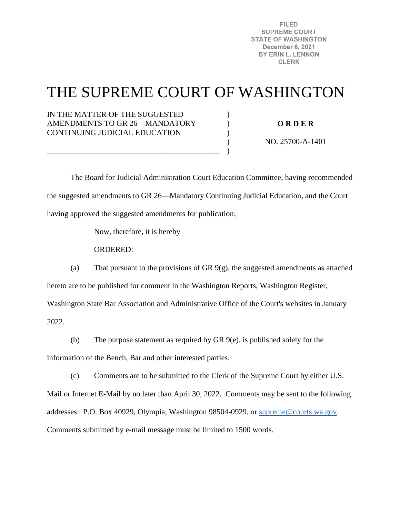**FILED SUPREME COURT STATE OF WASHINGTON** December 6, 2021 BY ERIN L. LENNON **CLERK** 

# THE SUPREME COURT OF WASHINGTON

) ) )  $\lambda$ )

IN THE MATTER OF THE SUGGESTED AMENDMENTS TO GR 26—MANDATORY CONTINUING JUDICIAL EDUCATION

\_\_\_\_\_\_\_\_\_\_\_\_\_\_\_\_\_\_\_\_\_\_\_\_\_\_\_\_\_\_\_\_\_\_\_\_\_\_\_\_\_\_\_\_

**O R D E R** 

NO. 25700-A-1401

 The Board for Judicial Administration Court Education Committee, having recommended the suggested amendments to GR 26—Mandatory Continuing Judicial Education, and the Court having approved the suggested amendments for publication;

Now, therefore, it is hereby

ORDERED:

(a) That pursuant to the provisions of GR 9(g), the suggested amendments as attached hereto are to be published for comment in the Washington Reports, Washington Register, Washington State Bar Association and Administrative Office of the Court's websites in January

2022.

(b) The purpose statement as required by GR 9(e), is published solely for the

information of the Bench, Bar and other interested parties.

(c) Comments are to be submitted to the Clerk of the Supreme Court by either U.S.

Mail or Internet E-Mail by no later than April 30, 2022. Comments may be sent to the following addresses: P.O. Box 40929, Olympia, Washington 98504-0929, or [supreme@courts.wa.gov.](mailto:supreme@courts.wa.gov) Comments submitted by e-mail message must be limited to 1500 words.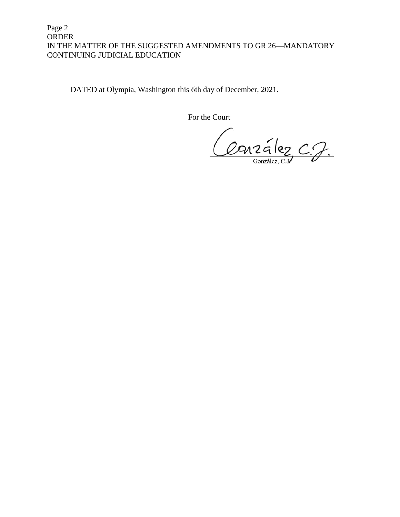#### Page 2 ORDER IN THE MATTER OF THE SUGGESTED AMENDMENTS TO GR 26—MANDATORY CONTINUING JUDICIAL EDUCATION

DATED at Olympia, Washington this 6th day of December, 2021.

For the Court

Conzález C.J.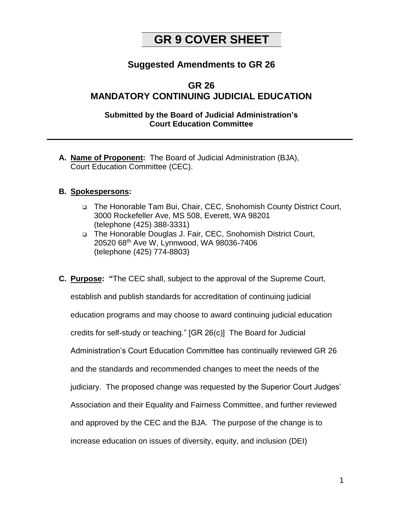## **GR 9 COVER SHEET**

## **Suggested Amendments to GR 26**

## **GR 26 MANDATORY CONTINUING JUDICIAL EDUCATION**

## **Submitted by the Board of Judicial Administration's Court Education Committee**

**A. Name of Proponent:** The Board of Judicial Administration (BJA), Court Education Committee (CEC).

## **B. Spokespersons:**

- The Honorable Tam Bui, Chair, CEC, Snohomish County District Court, 3000 Rockefeller Ave, MS 508, Everett, WA 98201 (telephone (425) 388-3331)
- □ The Honorable Douglas J. Fair, CEC, Snohomish District Court, 20520 68th Ave W, Lynnwood, WA 98036-7406 (telephone (425) 774-8803)
- **C. Purpose: "**The CEC shall, subject to the approval of the Supreme Court, establish and publish standards for accreditation of continuing judicial education programs and may choose to award continuing judicial education credits for self-study or teaching." [GR 26(c)]The Board for Judicial Administration's Court Education Committee has continually reviewed GR 26 and the standards and recommended changes to meet the needs of the judiciary. The proposed change was requested by the Superior Court Judges' Association and their Equality and Fairness Committee, and further reviewed and approved by the CEC and the BJA. The purpose of the change is to increase education on issues of diversity, equity, and inclusion (DEI)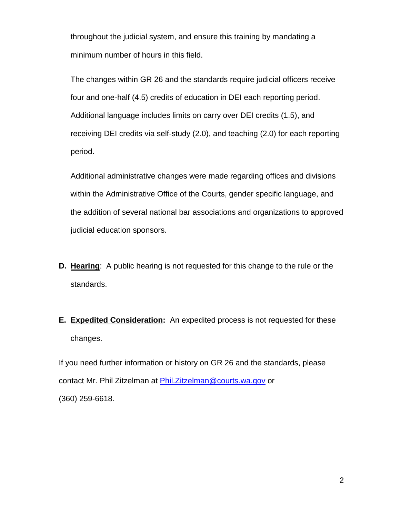throughout the judicial system, and ensure this training by mandating a minimum number of hours in this field.

The changes within GR 26 and the standards require judicial officers receive four and one-half (4.5) credits of education in DEI each reporting period. Additional language includes limits on carry over DEI credits (1.5), and receiving DEI credits via self-study (2.0), and teaching (2.0) for each reporting period.

Additional administrative changes were made regarding offices and divisions within the Administrative Office of the Courts, gender specific language, and the addition of several national bar associations and organizations to approved judicial education sponsors.

- **D. Hearing**: A public hearing is not requested for this change to the rule or the standards.
- **E. Expedited Consideration:** An expedited process is not requested for these changes.

If you need further information or history on GR 26 and the standards, please contact Mr. Phil Zitzelman at [Phil.Zitzelman@courts.wa.gov](mailto:Phil.Zitzelman@courts.wa.gov) or (360) 259-6618.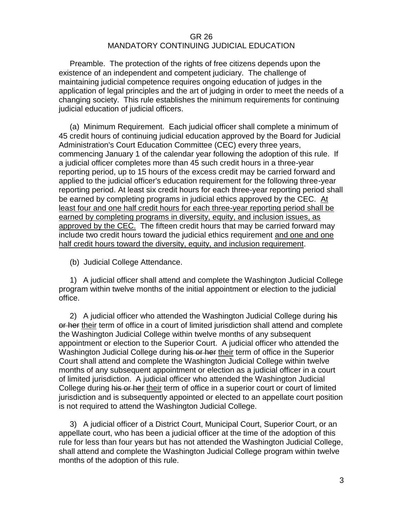#### GR 26

## MANDATORY CONTINUING JUDICIAL EDUCATION

 Preamble. The protection of the rights of free citizens depends upon the existence of an independent and competent judiciary. The challenge of maintaining judicial competence requires ongoing education of judges in the application of legal principles and the art of judging in order to meet the needs of a changing society. This rule establishes the minimum requirements for continuing judicial education of judicial officers.

 (a) Minimum Requirement. Each judicial officer shall complete a minimum of 45 credit hours of continuing judicial education approved by the Board for Judicial Administration's Court Education Committee (CEC) every three years, commencing January 1 of the calendar year following the adoption of this rule. If a judicial officer completes more than 45 such credit hours in a three-year reporting period, up to 15 hours of the excess credit may be carried forward and applied to the judicial officer's education requirement for the following three-year reporting period. At least six credit hours for each three-year reporting period shall be earned by completing programs in judicial ethics approved by the CEC. At least four and one half credit hours for each three-year reporting period shall be earned by completing programs in diversity, equity, and inclusion issues, as approved by the CEC. The fifteen credit hours that may be carried forward may include two credit hours toward the judicial ethics requirement and one and one half credit hours toward the diversity, equity, and inclusion requirement.

(b) Judicial College Attendance.

 1) A judicial officer shall attend and complete the Washington Judicial College program within twelve months of the initial appointment or election to the judicial office.

2) A judicial officer who attended the Washington Judicial College during his or her their term of office in a court of limited jurisdiction shall attend and complete the Washington Judicial College within twelve months of any subsequent appointment or election to the Superior Court. A judicial officer who attended the Washington Judicial College during his or her their term of office in the Superior Court shall attend and complete the Washington Judicial College within twelve months of any subsequent appointment or election as a judicial officer in a court of limited jurisdiction. A judicial officer who attended the Washington Judicial College during his or her their term of office in a superior court or court of limited jurisdiction and is subsequently appointed or elected to an appellate court position is not required to attend the Washington Judicial College.

 3) A judicial officer of a District Court, Municipal Court, Superior Court, or an appellate court, who has been a judicial officer at the time of the adoption of this rule for less than four years but has not attended the Washington Judicial College, shall attend and complete the Washington Judicial College program within twelve months of the adoption of this rule.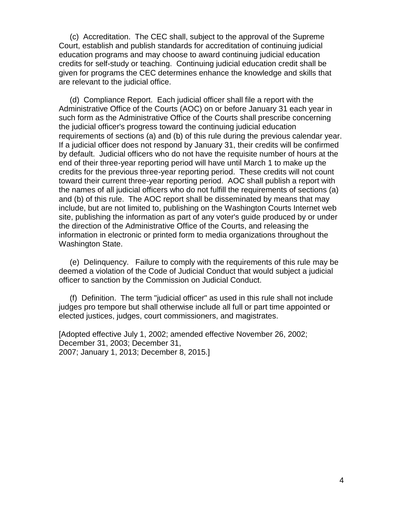(c) Accreditation. The CEC shall, subject to the approval of the Supreme Court, establish and publish standards for accreditation of continuing judicial education programs and may choose to award continuing judicial education credits for self-study or teaching. Continuing judicial education credit shall be given for programs the CEC determines enhance the knowledge and skills that are relevant to the judicial office.

 (d) Compliance Report. Each judicial officer shall file a report with the Administrative Office of the Courts (AOC) on or before January 31 each year in such form as the Administrative Office of the Courts shall prescribe concerning the judicial officer's progress toward the continuing judicial education requirements of sections (a) and (b) of this rule during the previous calendar year. If a judicial officer does not respond by January 31, their credits will be confirmed by default. Judicial officers who do not have the requisite number of hours at the end of their three-year reporting period will have until March 1 to make up the credits for the previous three-year reporting period. These credits will not count toward their current three-year reporting period. AOC shall publish a report with the names of all judicial officers who do not fulfill the requirements of sections (a) and (b) of this rule. The AOC report shall be disseminated by means that may include, but are not limited to, publishing on the Washington Courts Internet web site, publishing the information as part of any voter's guide produced by or under the direction of the Administrative Office of the Courts, and releasing the information in electronic or printed form to media organizations throughout the Washington State.

 (e) Delinquency. Failure to comply with the requirements of this rule may be deemed a violation of the Code of Judicial Conduct that would subject a judicial officer to sanction by the Commission on Judicial Conduct.

 (f) Definition. The term "judicial officer" as used in this rule shall not include judges pro tempore but shall otherwise include all full or part time appointed or elected justices, judges, court commissioners, and magistrates.

[Adopted effective July 1, 2002; amended effective November 26, 2002; December 31, 2003; December 31, 2007; January 1, 2013; December 8, 2015.]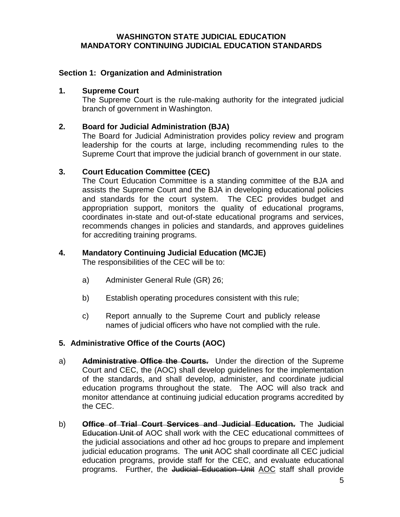#### **WASHINGTON STATE JUDICIAL EDUCATION MANDATORY CONTINUING JUDICIAL EDUCATION STANDARDS**

## **Section 1: Organization and Administration**

#### **1. Supreme Court**

The Supreme Court is the rule-making authority for the integrated judicial branch of government in Washington.

#### **2. Board for Judicial Administration (BJA)**

The Board for Judicial Administration provides policy review and program leadership for the courts at large, including recommending rules to the Supreme Court that improve the judicial branch of government in our state.

#### **3. Court Education Committee (CEC)**

The Court Education Committee is a standing committee of the BJA and assists the Supreme Court and the BJA in developing educational policies and standards for the court system. The CEC provides budget and appropriation support, monitors the quality of educational programs, coordinates in-state and out-of-state educational programs and services, recommends changes in policies and standards, and approves guidelines for accrediting training programs.

#### **4. Mandatory Continuing Judicial Education (MCJE)**

The responsibilities of the CEC will be to:

- a) Administer General Rule (GR) 26;
- b) Establish operating procedures consistent with this rule;
- c) Report annually to the Supreme Court and publicly release names of judicial officers who have not complied with the rule.

#### **5. Administrative Office of the Courts (AOC)**

- a) **Administrative Office the Courts.** Under the direction of the Supreme Court and CEC, the (AOC) shall develop guidelines for the implementation of the standards, and shall develop, administer, and coordinate judicial education programs throughout the state. The AOC will also track and monitor attendance at continuing judicial education programs accredited by the CEC.
- b) **Office of Trial Court Services and Judicial Education.** The Judicial Education Unit of AOC shall work with the CEC educational committees of the judicial associations and other ad hoc groups to prepare and implement judicial education programs. The unit AOC shall coordinate all CEC judicial education programs, provide staff for the CEC, and evaluate educational programs. Further, the Judicial Education Unit AOC staff shall provide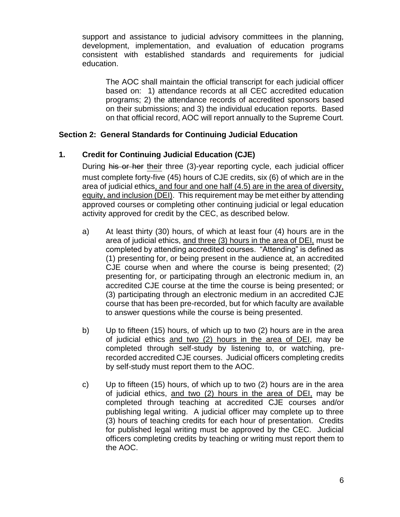support and assistance to judicial advisory committees in the planning, development, implementation, and evaluation of education programs consistent with established standards and requirements for judicial education.

The AOC shall maintain the official transcript for each judicial officer based on: 1) attendance records at all CEC accredited education programs; 2) the attendance records of accredited sponsors based on their submissions; and 3) the individual education reports. Based on that official record, AOC will report annually to the Supreme Court.

## **Section 2: General Standards for Continuing Judicial Education**

## **1. Credit for Continuing Judicial Education (CJE)**

During his or her their three (3)-year reporting cycle, each judicial officer must complete forty-five (45) hours of CJE credits, six (6) of which are in the area of judicial ethics, and four and one half (4.5) are in the area of diversity, equity, and inclusion (DEI). This requirement may be met either by attending approved courses or completing other continuing judicial or legal education activity approved for credit by the CEC, as described below.

- a) At least thirty (30) hours, of which at least four (4) hours are in the area of judicial ethics, and three (3) hours in the area of DEI, must be completed by attending accredited courses. "Attending" is defined as (1) presenting for, or being present in the audience at, an accredited CJE course when and where the course is being presented; (2) presenting for, or participating through an electronic medium in, an accredited CJE course at the time the course is being presented; or (3) participating through an electronic medium in an accredited CJE course that has been pre-recorded, but for which faculty are available to answer questions while the course is being presented.
- b) Up to fifteen (15) hours, of which up to two (2) hours are in the area of judicial ethics and two (2) hours in the area of DEI, may be completed through self-study by listening to, or watching, prerecorded accredited CJE courses. Judicial officers completing credits by self-study must report them to the AOC.
- c) Up to fifteen (15) hours, of which up to two (2) hours are in the area of judicial ethics, and two (2) hours in the area of DEI, may be completed through teaching at accredited CJE courses and/or publishing legal writing. A judicial officer may complete up to three (3) hours of teaching credits for each hour of presentation. Credits for published legal writing must be approved by the CEC. Judicial officers completing credits by teaching or writing must report them to the AOC.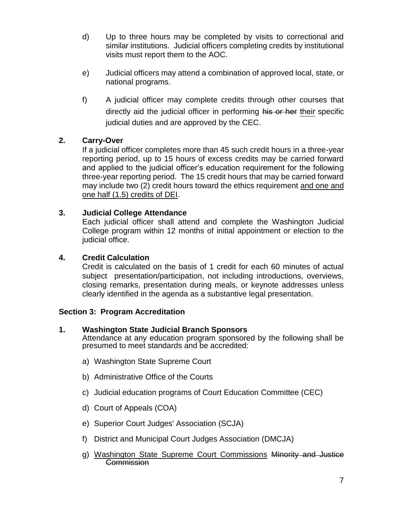- d) Up to three hours may be completed by visits to correctional and similar institutions. Judicial officers completing credits by institutional visits must report them to the AOC.
- e) Judicial officers may attend a combination of approved local, state, or national programs.
- f) A judicial officer may complete credits through other courses that directly aid the judicial officer in performing his or her their specific judicial duties and are approved by the CEC.

## **2. Carry-Over**

If a judicial officer completes more than 45 such credit hours in a three-year reporting period, up to 15 hours of excess credits may be carried forward and applied to the judicial officer's education requirement for the following three-year reporting period. The 15 credit hours that may be carried forward may include two (2) credit hours toward the ethics requirement and one and one half (1.5) credits of DEI.

## **3. Judicial College Attendance**

Each judicial officer shall attend and complete the Washington Judicial College program within 12 months of initial appointment or election to the judicial office.

## **4. Credit Calculation**

Credit is calculated on the basis of 1 credit for each 60 minutes of actual subject presentation/participation, not including introductions, overviews, closing remarks, presentation during meals, or keynote addresses unless clearly identified in the agenda as a substantive legal presentation.

## **Section 3: Program Accreditation**

## **1. Washington State Judicial Branch Sponsors**

Attendance at any education program sponsored by the following shall be presumed to meet standards and be accredited:

- a) Washington State Supreme Court
- b) Administrative Office of the Courts
- c) Judicial education programs of Court Education Committee (CEC)
- d) Court of Appeals (COA)
- e) Superior Court Judges' Association (SCJA)
- f) District and Municipal Court Judges Association (DMCJA)
- g) Washington State Supreme Court Commissions Minority and Justice **Commission**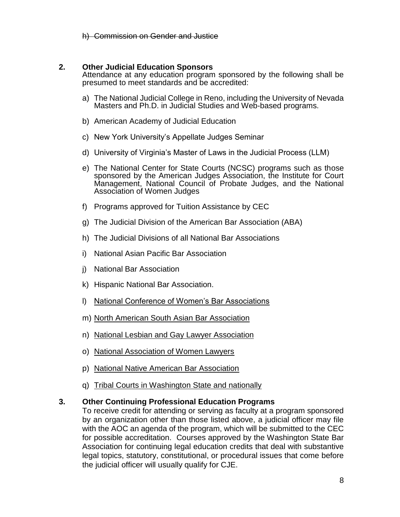h) Commission on Gender and Justice

## **2. Other Judicial Education Sponsors**

Attendance at any education program sponsored by the following shall be presumed to meet standards and be accredited:

- a) The National Judicial College in Reno, including the University of Nevada Masters and Ph.D. in Judicial Studies and Web-based programs.
- b) American Academy of Judicial Education
- c) New York University's Appellate Judges Seminar
- d) University of Virginia's Master of Laws in the Judicial Process (LLM)
- e) The National Center for State Courts (NCSC) programs such as those sponsored by the American Judges Association, the Institute for Court Management, National Council of Probate Judges, and the National Association of Women Judges
- f) Programs approved for Tuition Assistance by CEC
- g) The Judicial Division of the American Bar Association (ABA)
- h) The Judicial Divisions of all National Bar Associations
- i) National Asian Pacific Bar Association
- j) National Bar Association
- k) Hispanic National Bar Association.
- l) National Conference of Women's Bar Associations
- m) North American South Asian Bar Association
- n) National Lesbian and Gay Lawyer Association
- o) National Association of Women Lawyers
- p) National Native American Bar Association
- q) Tribal Courts in Washington State and nationally

#### **3. Other Continuing Professional Education Programs**

To receive credit for attending or serving as faculty at a program sponsored by an organization other than those listed above, a judicial officer may file with the AOC an agenda of the program, which will be submitted to the CEC for possible accreditation. Courses approved by the Washington State Bar Association for continuing legal education credits that deal with substantive legal topics, statutory, constitutional, or procedural issues that come before the judicial officer will usually qualify for CJE.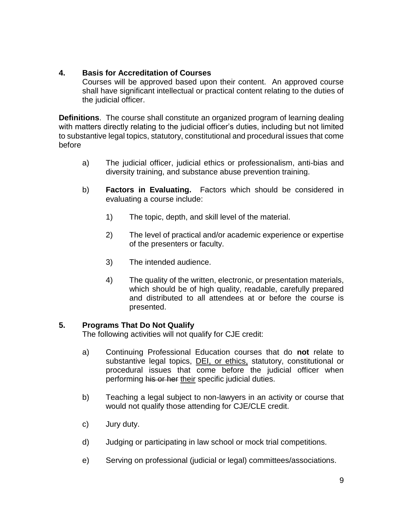## **4. Basis for Accreditation of Courses**

Courses will be approved based upon their content. An approved course shall have significant intellectual or practical content relating to the duties of the judicial officer.

**Definitions**. The course shall constitute an organized program of learning dealing with matters directly relating to the judicial officer's duties, including but not limited to substantive legal topics, statutory, constitutional and procedural issues that come before

- a) The judicial officer, judicial ethics or professionalism, anti-bias and diversity training, and substance abuse prevention training.
- b) **Factors in Evaluating.** Factors which should be considered in evaluating a course include:
	- 1) The topic, depth, and skill level of the material.
	- 2) The level of practical and/or academic experience or expertise of the presenters or faculty.
	- 3) The intended audience.
	- 4) The quality of the written, electronic, or presentation materials, which should be of high quality, readable, carefully prepared and distributed to all attendees at or before the course is presented.

## **5. Programs That Do Not Qualify**

The following activities will not qualify for CJE credit:

- a) Continuing Professional Education courses that do **not** relate to substantive legal topics, **DEI**, or ethics, statutory, constitutional or procedural issues that come before the judicial officer when performing his or her their specific judicial duties.
- b) Teaching a legal subject to non-lawyers in an activity or course that would not qualify those attending for CJE/CLE credit.
- c) Jury duty.
- d) Judging or participating in law school or mock trial competitions.
- e) Serving on professional (judicial or legal) committees/associations.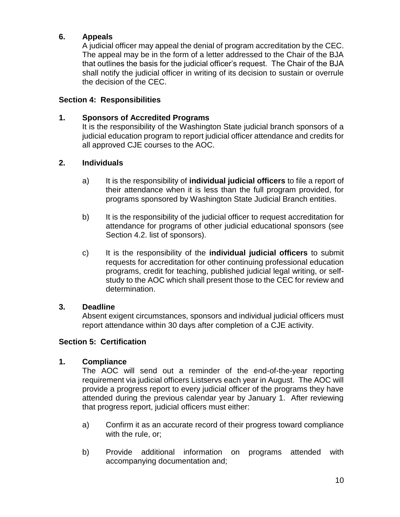## **6. Appeals**

A judicial officer may appeal the denial of program accreditation by the CEC. The appeal may be in the form of a letter addressed to the Chair of the BJA that outlines the basis for the judicial officer's request. The Chair of the BJA shall notify the judicial officer in writing of its decision to sustain or overrule the decision of the CEC.

## **Section 4: Responsibilities**

#### **1. Sponsors of Accredited Programs**

It is the responsibility of the Washington State judicial branch sponsors of a judicial education program to report judicial officer attendance and credits for all approved CJE courses to the AOC.

## **2. Individuals**

- a) It is the responsibility of **individual judicial officers** to file a report of their attendance when it is less than the full program provided, for programs sponsored by Washington State Judicial Branch entities.
- b) It is the responsibility of the judicial officer to request accreditation for attendance for programs of other judicial educational sponsors (see Section 4.2. list of sponsors).
- c) It is the responsibility of the **individual judicial officers** to submit requests for accreditation for other continuing professional education programs, credit for teaching, published judicial legal writing, or selfstudy to the AOC which shall present those to the CEC for review and determination.

#### **3. Deadline**

Absent exigent circumstances, sponsors and individual judicial officers must report attendance within 30 days after completion of a CJE activity.

#### **Section 5: Certification**

#### **1. Compliance**

The AOC will send out a reminder of the end-of-the-year reporting requirement via judicial officers Listservs each year in August. The AOC will provide a progress report to every judicial officer of the programs they have attended during the previous calendar year by January 1. After reviewing that progress report, judicial officers must either:

- a) Confirm it as an accurate record of their progress toward compliance with the rule, or;
- b) Provide additional information on programs attended with accompanying documentation and;